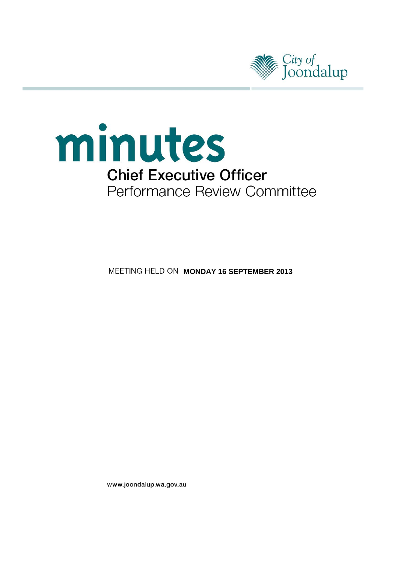



**MEETING HELD ON MONDAY 16 SEPTEMBER 2013** 

www.joondalup.wa.gov.au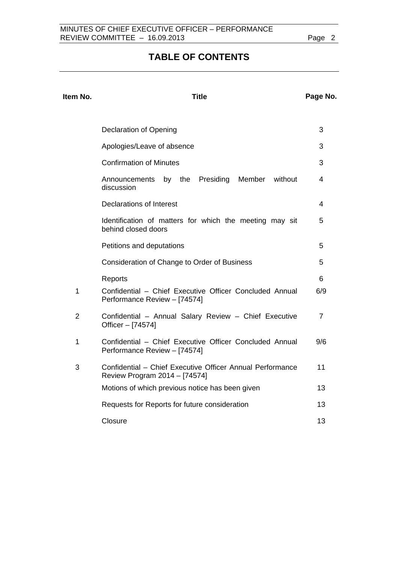# **TABLE OF CONTENTS**

| Item No.       | <b>Title</b>                                                                               |                |
|----------------|--------------------------------------------------------------------------------------------|----------------|
|                |                                                                                            |                |
|                | Declaration of Opening                                                                     | 3              |
|                | Apologies/Leave of absence                                                                 | 3              |
|                | <b>Confirmation of Minutes</b>                                                             | 3              |
|                | by the Presiding<br>Member without<br>Announcements<br>discussion                          | 4              |
|                | <b>Declarations of Interest</b>                                                            | 4              |
|                | Identification of matters for which the meeting may sit<br>behind closed doors             | 5              |
|                | Petitions and deputations                                                                  | 5              |
|                | Consideration of Change to Order of Business                                               | 5              |
|                | Reports                                                                                    | 6              |
| 1              | Confidential - Chief Executive Officer Concluded Annual<br>Performance Review - [74574]    | 6/9            |
| $\overline{2}$ | Confidential - Annual Salary Review - Chief Executive<br>Officer - [74574]                 | $\overline{7}$ |
| 1              | Confidential - Chief Executive Officer Concluded Annual<br>Performance Review - [74574]    | 9/6            |
| 3              | Confidential - Chief Executive Officer Annual Performance<br>Review Program 2014 - [74574] | 11             |
|                | Motions of which previous notice has been given                                            | 13             |
|                | Requests for Reports for future consideration                                              | 13             |
|                | Closure                                                                                    | 13             |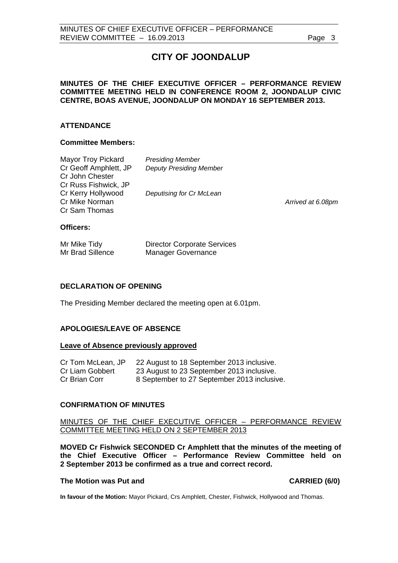# **CITY OF JOONDALUP**

## <span id="page-2-0"></span>**MINUTES OF THE CHIEF EXECUTIVE OFFICER – PERFORMANCE REVIEW COMMITTEE MEETING HELD IN CONFERENCE ROOM 2, JOONDALUP CIVIC CENTRE, BOAS AVENUE, JOONDALUP ON MONDAY 16 SEPTEMBER 2013.**

## **ATTENDANCE**

## **Committee Members:**

| Mayor Troy Pickard<br>Cr Geoff Amphlett, JP<br>Cr John Chester<br>Cr Russ Fishwick, JP | <b>Presiding Member</b><br><b>Deputy Presiding Member</b> |                   |
|----------------------------------------------------------------------------------------|-----------------------------------------------------------|-------------------|
| Cr Kerry Hollywood<br>Cr Mike Norman<br>Cr Sam Thomas                                  | Deputising for Cr McLean                                  | Arrived at 6.08pm |
| <b>Officers:</b>                                                                       |                                                           |                   |

| Mr Mike Tidy     | <b>Director Corporate Services</b> |
|------------------|------------------------------------|
| Mr Brad Sillence | <b>Manager Governance</b>          |

# **DECLARATION OF OPENING**

The Presiding Member declared the meeting open at 6.01pm.

# **APOLOGIES/LEAVE OF ABSENCE**

### **Leave of Absence previously approved**

| Cr Tom McLean, JP | 22 August to 18 September 2013 inclusive.   |
|-------------------|---------------------------------------------|
| Cr Liam Gobbert   | 23 August to 23 September 2013 inclusive.   |
| Cr Brian Corr     | 8 September to 27 September 2013 inclusive. |

### **CONFIRMATION OF MINUTES**

MINUTES OF THE CHIEF EXECUTIVE OFFICER – PERFORMANCE REVIEW COMMITTEE MEETING HELD ON 2 SEPTEMBER 2013

**MOVED Cr Fishwick SECONDED Cr Amphlett that the minutes of the meeting of the Chief Executive Officer – Performance Review Committee held on 2 September 2013 be confirmed as a true and correct record.** 

# **The Motion was Put and CARRIED (6/0)**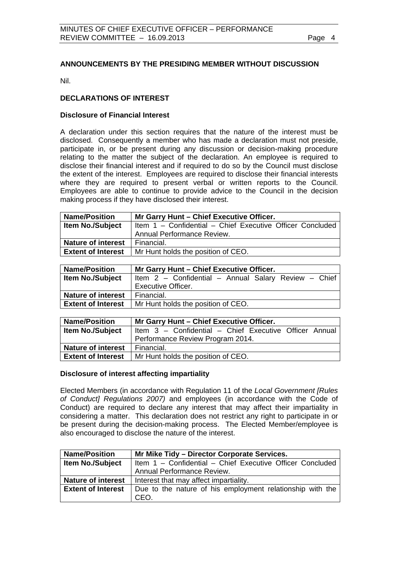# <span id="page-3-0"></span>**ANNOUNCEMENTS BY THE PRESIDING MEMBER WITHOUT DISCUSSION**

Nil.

# **DECLARATIONS OF INTEREST**

## **Disclosure of Financial Interest**

A declaration under this section requires that the nature of the interest must be disclosed. Consequently a member who has made a declaration must not preside, participate in, or be present during any discussion or decision-making procedure relating to the matter the subject of the declaration. An employee is required to disclose their financial interest and if required to do so by the Council must disclose the extent of the interest. Employees are required to disclose their financial interests where they are required to present verbal or written reports to the Council. Employees are able to continue to provide advice to the Council in the decision making process if they have disclosed their interest.

| <b>Name/Position</b>      | Mr Garry Hunt - Chief Executive Officer.                  |  |
|---------------------------|-----------------------------------------------------------|--|
| <b>Item No./Subject</b>   | Item 1 - Confidential - Chief Executive Officer Concluded |  |
|                           | Annual Performance Review.                                |  |
| <b>Nature of interest</b> | Financial.                                                |  |
| <b>Extent of Interest</b> | Mr Hunt holds the position of CEO.                        |  |

| <b>Name/Position</b>      | Mr Garry Hunt - Chief Executive Officer.             |  |
|---------------------------|------------------------------------------------------|--|
| <b>Item No./Subject</b>   | Item 2 - Confidential - Annual Salary Review - Chief |  |
|                           | <b>Executive Officer.</b>                            |  |
| <b>Nature of interest</b> | Financial.                                           |  |
| <b>Extent of Interest</b> | Mr Hunt holds the position of CEO.                   |  |

| <b>Name/Position</b>      | Mr Garry Hunt - Chief Executive Officer.               |  |
|---------------------------|--------------------------------------------------------|--|
| <b>Item No./Subject</b>   | Item 3 - Confidential - Chief Executive Officer Annual |  |
|                           | Performance Review Program 2014.                       |  |
| <b>Nature of interest</b> | Financial.                                             |  |
| <b>Extent of Interest</b> | Mr Hunt holds the position of CEO.                     |  |

### **Disclosure of interest affecting impartiality**

Elected Members (in accordance with Regulation 11 of the *Local Government [Rules of Conduct] Regulations 2007)* and employees (in accordance with the Code of Conduct) are required to declare any interest that may affect their impartiality in considering a matter. This declaration does not restrict any right to participate in or be present during the decision-making process. The Elected Member/employee is also encouraged to disclose the nature of the interest.

| <b>Name/Position</b>      | Mr Mike Tidy - Director Corporate Services.               |
|---------------------------|-----------------------------------------------------------|
| <b>Item No./Subject</b>   | Item 1 - Confidential - Chief Executive Officer Concluded |
|                           | Annual Performance Review.                                |
| <b>Nature of interest</b> | Interest that may affect impartiality.                    |
| <b>Extent of Interest</b> | Due to the nature of his employment relationship with the |
|                           | CEO.                                                      |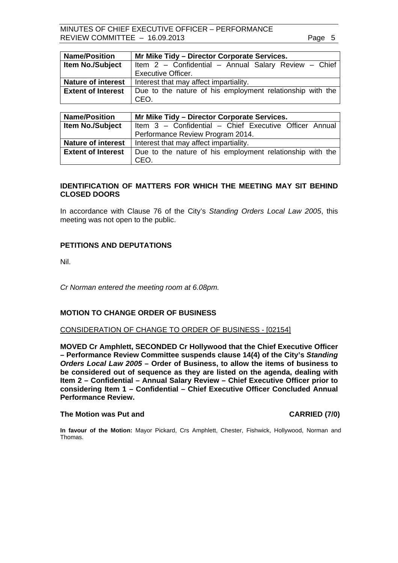<span id="page-4-0"></span>MINUTES OF CHIEF EXECUTIVE OFFICER – PERFORMANCE REVIEW COMMITTEE - 16.09.2013 Page 5

| <b>Name/Position</b>      | Mr Mike Tidy - Director Corporate Services.               |
|---------------------------|-----------------------------------------------------------|
| <b>Item No./Subject</b>   | Item 2 - Confidential - Annual Salary Review - Chief      |
|                           | <b>Executive Officer.</b>                                 |
| <b>Nature of interest</b> | Interest that may affect impartiality.                    |
| <b>Extent of Interest</b> | Due to the nature of his employment relationship with the |
|                           | CEO.                                                      |
|                           |                                                           |

| <b>Name/Position</b>      | Mr Mike Tidy - Director Corporate Services.                       |  |
|---------------------------|-------------------------------------------------------------------|--|
| <b>Item No./Subject</b>   | Item 3 - Confidential - Chief Executive Officer Annual            |  |
|                           | Performance Review Program 2014.                                  |  |
| <b>Nature of interest</b> | Interest that may affect impartiality.                            |  |
| <b>Extent of Interest</b> | Due to the nature of his employment relationship with the<br>CEO. |  |

# **IDENTIFICATION OF MATTERS FOR WHICH THE MEETING MAY SIT BEHIND CLOSED DOORS**

In accordance with Clause 76 of the City's *Standing Orders Local Law 2005*, this meeting was not open to the public.

## **PETITIONS AND DEPUTATIONS**

Nil.

*Cr Norman entered the meeting room at 6.08pm.* 

## **MOTION TO CHANGE ORDER OF BUSINESS**

#### CONSIDERATION OF CHANGE TO ORDER OF BUSINESS - [02154]

**MOVED Cr Amphlett, SECONDED Cr Hollywood that the Chief Executive Officer – Performance Review Committee suspends clause 14(4) of the City's** *Standing Orders Local Law 2005* **– Order of Business, to allow the items of business to be considered out of sequence as they are listed on the agenda, dealing with Item 2 – Confidential – Annual Salary Review – Chief Executive Officer prior to considering Item 1 – Confidential – Chief Executive Officer Concluded Annual Performance Review.** 

#### **The Motion was Put and CARRIED (7/0) CARRIED (7/0)**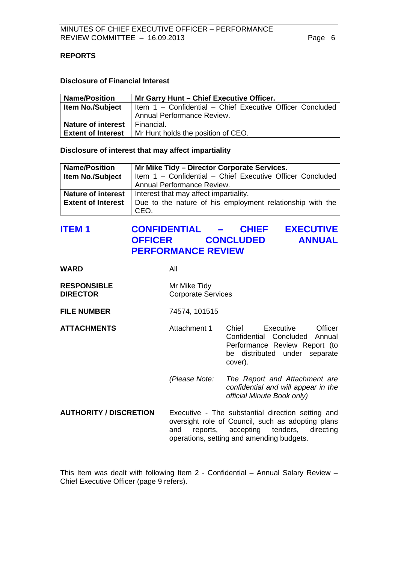# <span id="page-5-0"></span>**REPORTS**

### **Disclosure of Financial Interest**

| <b>Name/Position</b>      | Mr Garry Hunt - Chief Executive Officer.                  |  |
|---------------------------|-----------------------------------------------------------|--|
| <b>Item No./Subject</b>   | Item 1 - Confidential - Chief Executive Officer Concluded |  |
|                           | <b>Annual Performance Review.</b>                         |  |
| <b>Nature of interest</b> | Financial.                                                |  |
| <b>Extent of Interest</b> | Mr Hunt holds the position of CEO.                        |  |

### **Disclosure of interest that may affect impartiality**

| <b>Name/Position</b>      | Mr Mike Tidy - Director Corporate Services.                       |  |
|---------------------------|-------------------------------------------------------------------|--|
| <b>Item No./Subject</b>   | Item 1 - Confidential - Chief Executive Officer Concluded         |  |
|                           | Annual Performance Review.                                        |  |
| <b>Nature of interest</b> | Interest that may affect impartiality.                            |  |
| <b>Extent of Interest</b> | Due to the nature of his employment relationship with the<br>CEO. |  |
|                           |                                                                   |  |

# **ITEM 1 CONFIDENTIAL – CHIEF EXECUTIVE OFFICER CONCLUDED ANNUAL PERFORMANCE REVIEW**

| <b>WARD</b> | All |
|-------------|-----|
|             |     |

| <b>RESPONSIBLE</b> | Mr Mike Tidy              |
|--------------------|---------------------------|
| <b>DIRECTOR</b>    | <b>Corporate Services</b> |

### **FILE NUMBER** 74574, 101515

**ATTACHMENTS** Attachment 1 Chief Executive Officer Confidential Concluded Annual Performance Review Report (to be distributed under separate cover).

> *(Please Note: The Report and Attachment are confidential and will appear in the official Minute Book only)*

**AUTHORITY / DISCRETION** Executive - The substantial direction setting and oversight role of Council, such as adopting plans and reports, accepting tenders, directing operations, setting and amending budgets.

This Item was dealt with following Item 2 - Confidential – Annual Salary Review – Chief Executive Officer (page 9 refers).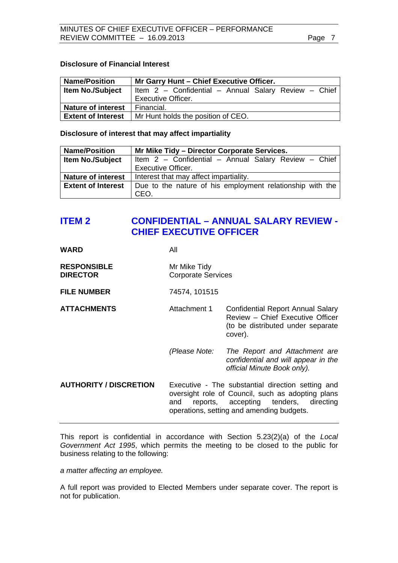# <span id="page-6-0"></span>**Disclosure of Financial Interest**

| <b>Name/Position</b>      | Mr Garry Hunt - Chief Executive Officer.             |  |
|---------------------------|------------------------------------------------------|--|
| <b>Item No./Subject</b>   | Item 2 - Confidential - Annual Salary Review - Chief |  |
|                           | <b>Executive Officer.</b>                            |  |
| <b>Nature of interest</b> | Financial.                                           |  |
| <b>Extent of Interest</b> | Mr Hunt holds the position of CEO.                   |  |

**Disclosure of interest that may affect impartiality** 

| <b>Name/Position</b>      | Mr Mike Tidy - Director Corporate Services.                       |
|---------------------------|-------------------------------------------------------------------|
| <b>Item No./Subject</b>   | Item 2 - Confidential - Annual Salary Review - Chief              |
|                           | <b>Executive Officer.</b>                                         |
| <b>Nature of interest</b> | Interest that may affect impartiality.                            |
| <b>Extent of Interest</b> | Due to the nature of his employment relationship with the<br>CEO. |

# **ITEM 2 CONFIDENTIAL – ANNUAL SALARY REVIEW - CHIEF EXECUTIVE OFFICER**

| <b>WARD</b>                           | All                                       |                                                                                                                                                                                              |
|---------------------------------------|-------------------------------------------|----------------------------------------------------------------------------------------------------------------------------------------------------------------------------------------------|
| <b>RESPONSIBLE</b><br><b>DIRECTOR</b> | Mr Mike Tidy<br><b>Corporate Services</b> |                                                                                                                                                                                              |
| <b>FILE NUMBER</b>                    | 74574, 101515                             |                                                                                                                                                                                              |
| <b>ATTACHMENTS</b>                    | Attachment 1                              | Confidential Report Annual Salary<br>Review - Chief Executive Officer<br>(to be distributed under separate<br>cover).                                                                        |
|                                       | (Please Note:                             | The Report and Attachment are<br>confidential and will appear in the<br>official Minute Book only).                                                                                          |
| <b>AUTHORITY / DISCRETION</b>         | and                                       | Executive - The substantial direction setting and<br>oversight role of Council, such as adopting plans<br>reports, accepting tenders, directing<br>operations, setting and amending budgets. |

This report is confidential in accordance with Section 5.23(2)(a) of the *Local Government Act 1995*, which permits the meeting to be closed to the public for business relating to the following:

*a matter affecting an employee.* 

A full report was provided to Elected Members under separate cover. The report is not for publication.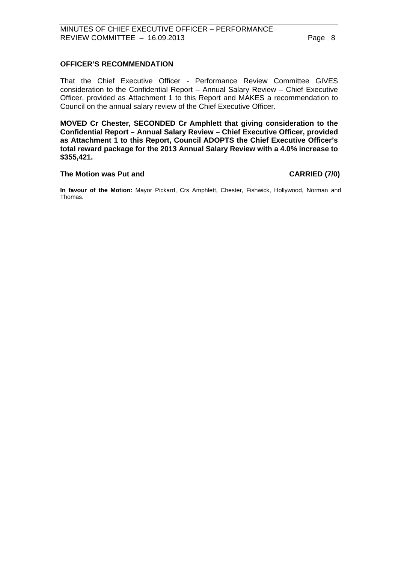# **OFFICER'S RECOMMENDATION**

That the Chief Executive Officer - Performance Review Committee GIVES consideration to the Confidential Report – Annual Salary Review – Chief Executive Officer, provided as Attachment 1 to this Report and MAKES a recommendation to Council on the annual salary review of the Chief Executive Officer.

**MOVED Cr Chester, SECONDED Cr Amphlett that giving consideration to the Confidential Report – Annual Salary Review – Chief Executive Officer, provided as Attachment 1 to this Report, Council ADOPTS the Chief Executive Officer's total reward package for the 2013 Annual Salary Review with a 4.0% increase to \$355,421.** 

### The Motion was Put and **CARRIED** (7/0)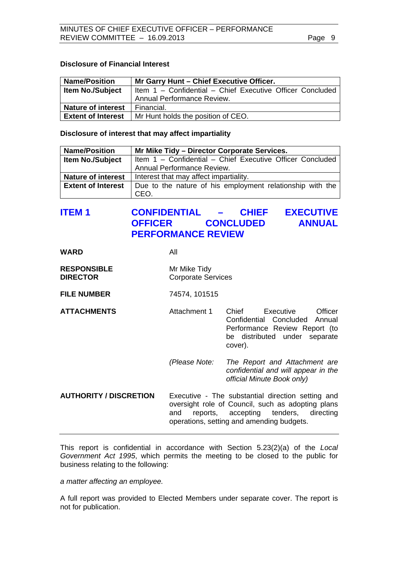# <span id="page-8-0"></span>**Disclosure of Financial Interest**

| <b>Name/Position</b>      | Mr Garry Hunt - Chief Executive Officer.                  |  |
|---------------------------|-----------------------------------------------------------|--|
| <b>Item No./Subject</b>   | Item 1 - Confidential - Chief Executive Officer Concluded |  |
|                           | <b>Annual Performance Review.</b>                         |  |
| <b>Nature of interest</b> | Financial.                                                |  |
| <b>Extent of Interest</b> | Mr Hunt holds the position of CEO.                        |  |

**Disclosure of interest that may affect impartiality** 

| <b>Name/Position</b>      | Mr Mike Tidy - Director Corporate Services.                       |
|---------------------------|-------------------------------------------------------------------|
| <b>Item No./Subject</b>   | Item 1 - Confidential - Chief Executive Officer Concluded         |
|                           | Annual Performance Review.                                        |
| <b>Nature of interest</b> | Interest that may affect impartiality.                            |
| <b>Extent of Interest</b> | Due to the nature of his employment relationship with the<br>CEO. |

# **ITEM 1 CONFIDENTIAL – CHIEF EXECUTIVE OFFICER CONCLUDED ANNUAL PERFORMANCE REVIEW**

### **WARD** All

| <b>RESPONSIBLE</b> | Mr Mike Tidy              |
|--------------------|---------------------------|
| <b>DIRECTOR</b>    | <b>Corporate Services</b> |

# **FILE NUMBER** 74574, 101515

**ATTACHMENTS** Attachment 1 Chief Executive Officer Confidential Concluded Annual Performance Review Report (to be distributed under separate cover).

> *(Please Note: The Report and Attachment are confidential and will appear in the official Minute Book only)*

**AUTHORITY / DISCRETION** Executive - The substantial direction setting and oversight role of Council, such as adopting plans and reports, accepting tenders, directing operations, setting and amending budgets.

This report is confidential in accordance with Section 5.23(2)(a) of the *Local Government Act 1995*, which permits the meeting to be closed to the public for business relating to the following:

### *a matter affecting an employee.*

A full report was provided to Elected Members under separate cover. The report is not for publication.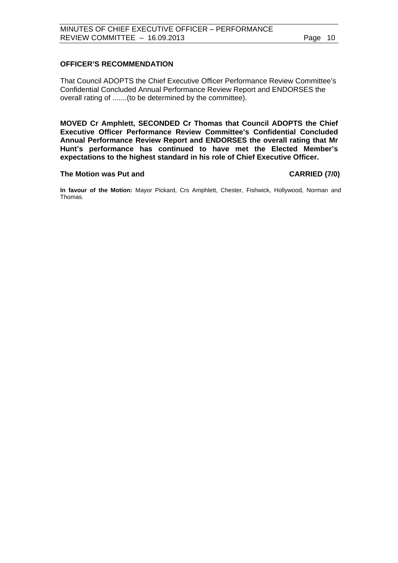# **OFFICER'S RECOMMENDATION**

That Council ADOPTS the Chief Executive Officer Performance Review Committee's Confidential Concluded Annual Performance Review Report and ENDORSES the overall rating of .......(to be determined by the committee).

**MOVED Cr Amphlett, SECONDED Cr Thomas that Council ADOPTS the Chief Executive Officer Performance Review Committee's Confidential Concluded Annual Performance Review Report and ENDORSES the overall rating that Mr Hunt's performance has continued to have met the Elected Member's expectations to the highest standard in his role of Chief Executive Officer.** 

### **The Motion was Put and CARRIED (7/0)**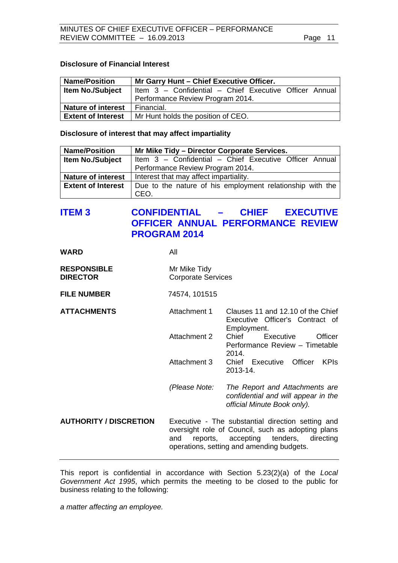# <span id="page-10-0"></span>**Disclosure of Financial Interest**

| <b>Name/Position</b>      | Mr Garry Hunt - Chief Executive Officer.               |  |
|---------------------------|--------------------------------------------------------|--|
| <b>Item No./Subject</b>   | Item 3 - Confidential - Chief Executive Officer Annual |  |
|                           | Performance Review Program 2014.                       |  |
| <b>Nature of interest</b> | Financial.                                             |  |
| <b>Extent of Interest</b> | Mr Hunt holds the position of CEO.                     |  |

**Disclosure of interest that may affect impartiality** 

| <b>Name/Position</b>      | Mr Mike Tidy - Director Corporate Services.                       |
|---------------------------|-------------------------------------------------------------------|
| <b>Item No./Subject</b>   | Item 3 - Confidential - Chief Executive Officer Annual            |
|                           | Performance Review Program 2014.                                  |
| <b>Nature of interest</b> | Interest that may affect impartiality.                            |
| <b>Extent of Interest</b> | Due to the nature of his employment relationship with the<br>CEO. |

# **ITEM 3 CONFIDENTIAL – CHIEF EXECUTIVE OFFICER ANNUAL PERFORMANCE REVIEW PROGRAM 2014**

| <b>WARD</b>        | All                       |
|--------------------|---------------------------|
| <b>RESPONSIBLE</b> | Mr Mike Tidy              |
| <b>DIRECTOR</b>    | <b>Corporate Services</b> |

**FILE NUMBER** 74574, 101515

**ATTACHMENTS** Attachment 1 Clauses 11 and 12.10 of the Chief Executive Officer's Contract of Employment. Attachment 2 Chief Executive Officer Performance Review – Timetable 2014. Attachment 3 Chief Executive Officer KPIs 2013-14.  *(Please Note: The Report and Attachments are confidential and will appear in the* 

**AUTHORITY / DISCRETION** Executive - The substantial direction setting and oversight role of Council, such as adopting plans and reports, accepting tenders, directing operations, setting and amending budgets.

*official Minute Book only).*

This report is confidential in accordance with Section 5.23(2)(a) of the *Local Government Act 1995*, which permits the meeting to be closed to the public for business relating to the following:

*a matter affecting an employee.*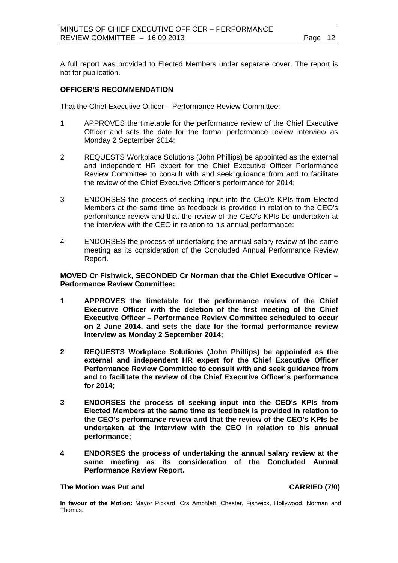A full report was provided to Elected Members under separate cover. The report is not for publication.

### **OFFICER'S RECOMMENDATION**

That the Chief Executive Officer – Performance Review Committee:

- 1 APPROVES the timetable for the performance review of the Chief Executive Officer and sets the date for the formal performance review interview as Monday 2 September 2014;
- 2 REQUESTS Workplace Solutions (John Phillips) be appointed as the external and independent HR expert for the Chief Executive Officer Performance Review Committee to consult with and seek guidance from and to facilitate the review of the Chief Executive Officer's performance for 2014;
- 3 ENDORSES the process of seeking input into the CEO's KPIs from Elected Members at the same time as feedback is provided in relation to the CEO's performance review and that the review of the CEO's KPIs be undertaken at the interview with the CEO in relation to his annual performance;
- 4 ENDORSES the process of undertaking the annual salary review at the same meeting as its consideration of the Concluded Annual Performance Review Report.

# **MOVED Cr Fishwick, SECONDED Cr Norman that the Chief Executive Officer – Performance Review Committee:**

- **1 APPROVES the timetable for the performance review of the Chief Executive Officer with the deletion of the first meeting of the Chief Executive Officer – Performance Review Committee scheduled to occur on 2 June 2014, and sets the date for the formal performance review interview as Monday 2 September 2014;**
- **2 REQUESTS Workplace Solutions (John Phillips) be appointed as the external and independent HR expert for the Chief Executive Officer Performance Review Committee to consult with and seek guidance from and to facilitate the review of the Chief Executive Officer's performance for 2014;**
- **3 ENDORSES the process of seeking input into the CEO's KPIs from Elected Members at the same time as feedback is provided in relation to the CEO's performance review and that the review of the CEO's KPIs be undertaken at the interview with the CEO in relation to his annual performance;**
- **4 ENDORSES the process of undertaking the annual salary review at the same meeting as its consideration of the Concluded Annual Performance Review Report.**

#### **The Motion was Put and CARRIED (7/0)**